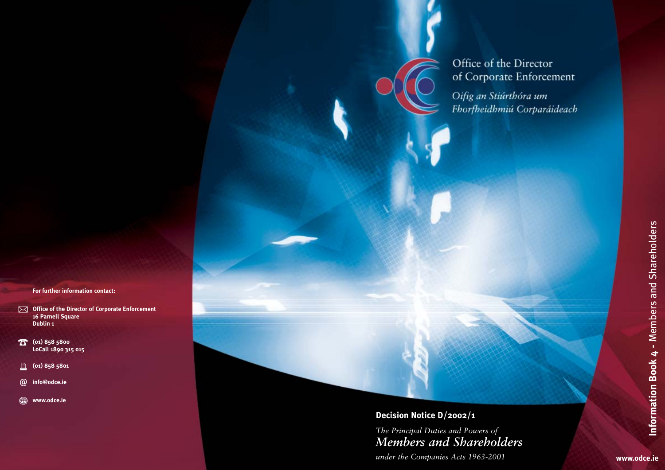# Office of the Director of Corporate Enforcement

Oifig an Stiúrthóra um Fhorfheidhmiú Corparáideach

# **Decision Notice D/2002/1**

*The Principal Duties and Powers of Members and Shareholders*

*under the Companies Acts 1963-2001*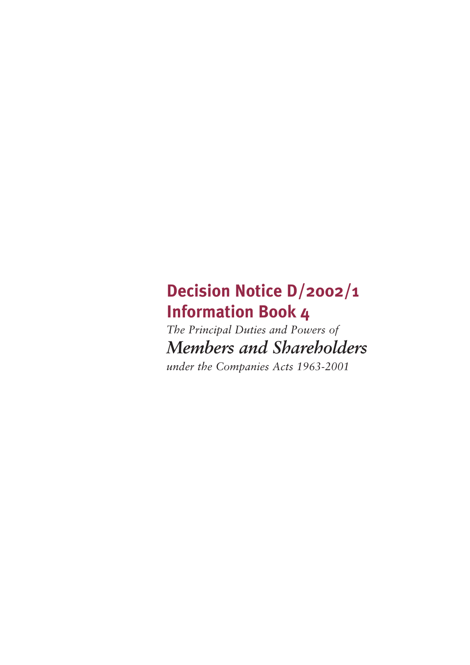# **Decision Notice D/2002/1 Information Book 4**

*The Principal Duties and Powers of Members and Shareholders*

*under the Companies Acts 1963-2001*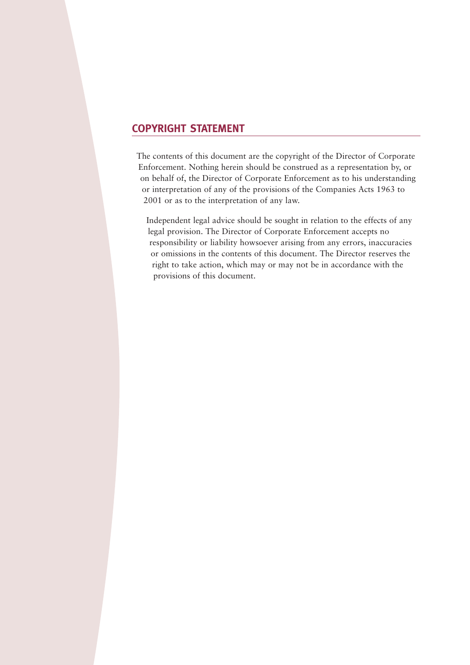# **COPYRIGHT STATEMENT**

The contents of this document are the copyright of the Director of Corporate Enforcement. Nothing herein should be construed as a representation by, or on behalf of, the Director of Corporate Enforcement as to his understanding or interpretation of any of the provisions of the Companies Acts 1963 to 2001 or as to the interpretation of any law.

Independent legal advice should be sought in relation to the effects of any legal provision. The Director of Corporate Enforcement accepts no responsibility or liability howsoever arising from any errors, inaccuracies or omissions in the contents of this document. The Director reserves the right to take action, which may or may not be in accordance with the provisions of this document.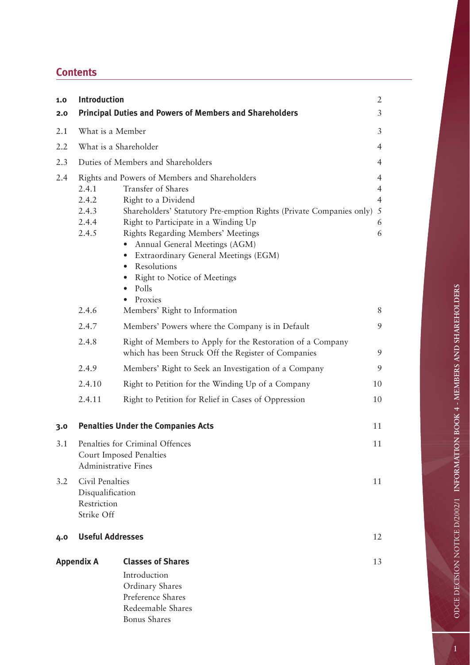# **Contents**

| 1.0<br>2.0        | <b>Introduction</b>                                                                       | <b>Principal Duties and Powers of Members and Shareholders</b>                                                                                                                                                                                                                                                                                                                                                                    | $\overline{2}$<br>$\mathfrak{Z}$                                  |
|-------------------|-------------------------------------------------------------------------------------------|-----------------------------------------------------------------------------------------------------------------------------------------------------------------------------------------------------------------------------------------------------------------------------------------------------------------------------------------------------------------------------------------------------------------------------------|-------------------------------------------------------------------|
| 2.1               | What is a Member                                                                          |                                                                                                                                                                                                                                                                                                                                                                                                                                   | 3                                                                 |
| 2.2               | What is a Shareholder                                                                     |                                                                                                                                                                                                                                                                                                                                                                                                                                   | $\overline{4}$                                                    |
|                   |                                                                                           |                                                                                                                                                                                                                                                                                                                                                                                                                                   |                                                                   |
| 2.3               | Duties of Members and Shareholders                                                        |                                                                                                                                                                                                                                                                                                                                                                                                                                   | $\overline{4}$                                                    |
| 2.4               | 2.4.1<br>2.4.2<br>2.4.3<br>2.4.4<br>2.4.5                                                 | Rights and Powers of Members and Shareholders<br>Transfer of Shares<br>Right to a Dividend<br>Shareholders' Statutory Pre-emption Rights (Private Companies only)<br>Right to Participate in a Winding Up<br>Rights Regarding Members' Meetings<br>Annual General Meetings (AGM)<br>Extraordinary General Meetings (EGM)<br>$\bullet$<br>Resolutions<br>$\bullet$<br>Right to Notice of Meetings<br>Polls<br>$\bullet$<br>Proxies | $\overline{4}$<br>$\overline{4}$<br>$\overline{4}$<br>5<br>6<br>6 |
|                   | 2.4.6                                                                                     | Members' Right to Information                                                                                                                                                                                                                                                                                                                                                                                                     | 8                                                                 |
|                   | 2.4.7                                                                                     | Members' Powers where the Company is in Default                                                                                                                                                                                                                                                                                                                                                                                   | 9                                                                 |
|                   | 2.4.8                                                                                     | Right of Members to Apply for the Restoration of a Company<br>which has been Struck Off the Register of Companies                                                                                                                                                                                                                                                                                                                 | 9                                                                 |
|                   | 2.4.9                                                                                     | Members' Right to Seek an Investigation of a Company                                                                                                                                                                                                                                                                                                                                                                              | 9                                                                 |
|                   | 2.4.10                                                                                    | Right to Petition for the Winding Up of a Company                                                                                                                                                                                                                                                                                                                                                                                 | 10                                                                |
|                   | 2.4.11                                                                                    | Right to Petition for Relief in Cases of Oppression                                                                                                                                                                                                                                                                                                                                                                               | 10                                                                |
| 3.0               |                                                                                           | <b>Penalties Under the Companies Acts</b>                                                                                                                                                                                                                                                                                                                                                                                         | 11                                                                |
| 3.1               | Penalties for Criminal Offences<br>Court Imposed Penalties<br><b>Administrative Fines</b> |                                                                                                                                                                                                                                                                                                                                                                                                                                   | 11                                                                |
| 3.2               | Civil Penalties<br>Disqualification<br>Restriction<br>Strike Off                          |                                                                                                                                                                                                                                                                                                                                                                                                                                   | 11                                                                |
| 4.0               | <b>Useful Addresses</b>                                                                   |                                                                                                                                                                                                                                                                                                                                                                                                                                   | 12                                                                |
| <b>Appendix A</b> |                                                                                           | <b>Classes of Shares</b><br>Introduction                                                                                                                                                                                                                                                                                                                                                                                          | 13                                                                |
|                   |                                                                                           | Ordinary Shares<br>Preference Shares<br>Redeemable Shares<br><b>Bonus Shares</b>                                                                                                                                                                                                                                                                                                                                                  |                                                                   |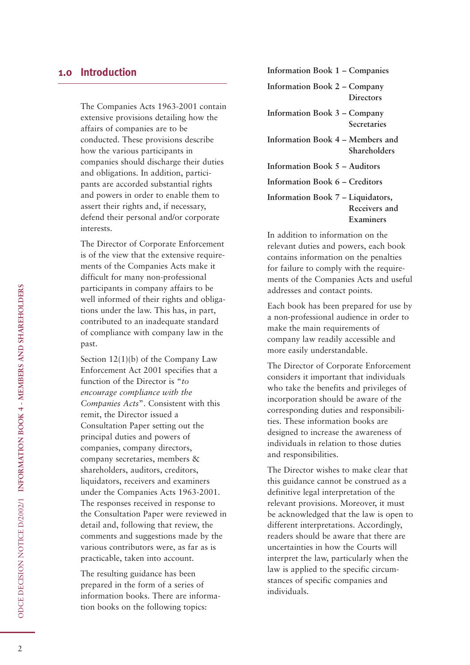The Companies Acts 1963-2001 contain extensive provisions detailing how the affairs of companies are to be conducted. These provisions describe how the various participants in companies should discharge their duties and obligations. In addition, participants are accorded substantial rights and powers in order to enable them to assert their rights and, if necessary, defend their personal and/or corporate interests.

The Director of Corporate Enforcement is of the view that the extensive requirements of the Companies Acts make it difficult for many non-professional participants in company affairs to be well informed of their rights and obligations under the law. This has, in part, contributed to an inadequate standard of compliance with company law in the past.

Section 12(1)(b) of the Company Law Enforcement Act 2001 specifies that a function of the Director is "*to encourage compliance with the Companies Acts*". Consistent with this remit, the Director issued a Consultation Paper setting out the principal duties and powers of companies, company directors, company secretaries, members & shareholders, auditors, creditors, liquidators, receivers and examiners under the Companies Acts 1963-2001. The responses received in response to the Consultation Paper were reviewed in detail and, following that review, the comments and suggestions made by the various contributors were, as far as is practicable, taken into account.

The resulting guidance has been prepared in the form of a series of information books. There are information books on the following topics:

**Information Book 1 – Companies Information Book 2 – Company Directors Information Book 3 – Company Secretaries Information Book 4 – Members and Shareholders Information Book 5 – Auditors Information Book 6 – Creditors Information Book 7 – Liquidators, Receivers and Examiners**

In addition to information on the relevant duties and powers, each book contains information on the penalties for failure to comply with the requirements of the Companies Acts and useful addresses and contact points.

Each book has been prepared for use by a non-professional audience in order to make the main requirements of company law readily accessible and more easily understandable.

The Director of Corporate Enforcement considers it important that individuals who take the benefits and privileges of incorporation should be aware of the corresponding duties and responsibilities. These information books are designed to increase the awareness of individuals in relation to those duties and responsibilities.

The Director wishes to make clear that this guidance cannot be construed as a definitive legal interpretation of the relevant provisions. Moreover, it must be acknowledged that the law is open to different interpretations. Accordingly, readers should be aware that there are uncertainties in how the Courts will interpret the law, particularly when the law is applied to the specific circumstances of specific companies and individuals.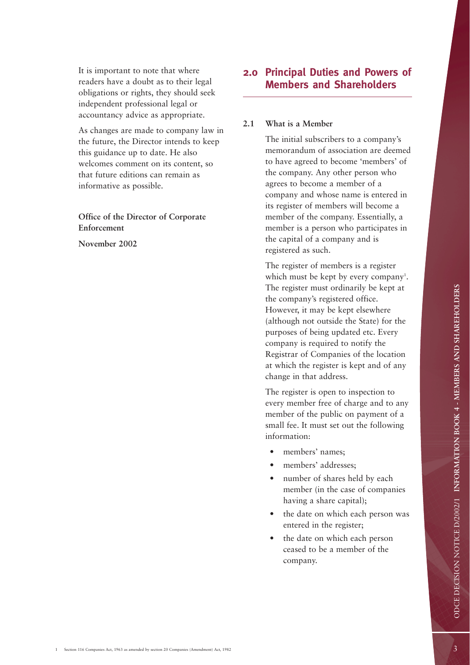It is important to note that where readers have a doubt as to their legal obligations or rights, they should seek independent professional legal or accountancy advice as appropriate.

As changes are made to company law in the future, the Director intends to keep this guidance up to date. He also welcomes comment on its content, so that future editions can remain as informative as possible.

**Office of the Director of Corporate Enforcement**

**November 2002**

## **2.0 Principal Duties and Powers of Members and Shareholders**

#### **2.1 What is a Member**

The initial subscribers to a company's memorandum of association are deemed to have agreed to become 'members' of the company. Any other person who agrees to become a member of a company and whose name is entered in its register of members will become a member of the company. Essentially, a member is a person who participates in the capital of a company and is registered as such.

The register of members is a register which must be kept by every company<sup>1</sup>. The register must ordinarily be kept at the company's registered office. However, it may be kept elsewhere (although not outside the State) for the purposes of being updated etc. Every company is required to notify the Registrar of Companies of the location at which the register is kept and of any change in that address.

The register is open to inspection to every member free of charge and to any member of the public on payment of a small fee. It must set out the following information:

- members' names;
- members' addresses;
- number of shares held by each member (in the case of companies having a share capital);
- the date on which each person was entered in the register;
- the date on which each person ceased to be a member of the company.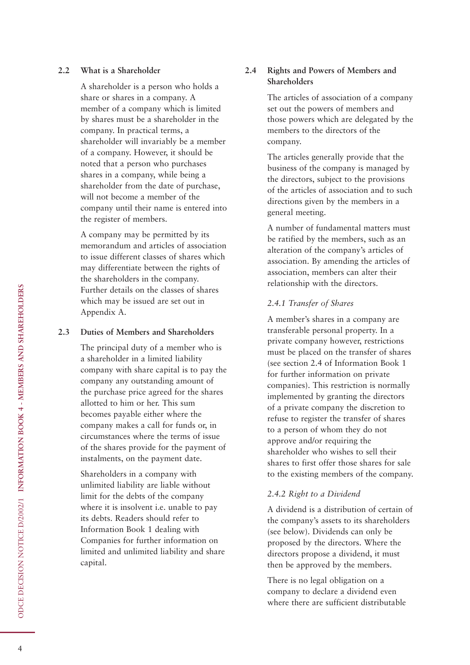#### **2.2 What is a Shareholder**

A shareholder is a person who holds a share or shares in a company. A member of a company which is limited by shares must be a shareholder in the company. In practical terms, a shareholder will invariably be a member of a company. However, it should be noted that a person who purchases shares in a company, while being a shareholder from the date of purchase, will not become a member of the company until their name is entered into the register of members.

A company may be permitted by its memorandum and articles of association to issue different classes of shares which may differentiate between the rights of the shareholders in the company. Further details on the classes of shares which may be issued are set out in Appendix A.

#### **2.3 Duties of Members and Shareholders**

The principal duty of a member who is a shareholder in a limited liability company with share capital is to pay the company any outstanding amount of the purchase price agreed for the shares allotted to him or her. This sum becomes payable either where the company makes a call for funds or, in circumstances where the terms of issue of the shares provide for the payment of instalments, on the payment date.

Shareholders in a company with unlimited liability are liable without limit for the debts of the company where it is insolvent i.e. unable to pay its debts. Readers should refer to Information Book 1 dealing with Companies for further information on limited and unlimited liability and share capital.

## **2.4 Rights and Powers of Members and Shareholders**

The articles of association of a company set out the powers of members and those powers which are delegated by the members to the directors of the company.

The articles generally provide that the business of the company is managed by the directors, subject to the provisions of the articles of association and to such directions given by the members in a general meeting.

A number of fundamental matters must be ratified by the members, such as an alteration of the company's articles of association. By amending the articles of association, members can alter their relationship with the directors.

### *2.4.1 Transfer of Shares*

A member's shares in a company are transferable personal property. In a private company however, restrictions must be placed on the transfer of shares (see section 2.4 of Information Book 1 for further information on private companies). This restriction is normally implemented by granting the directors of a private company the discretion to refuse to register the transfer of shares to a person of whom they do not approve and/or requiring the shareholder who wishes to sell their shares to first offer those shares for sale to the existing members of the company.

## *2.4.2 Right to a Dividend*

A dividend is a distribution of certain of the company's assets to its shareholders (see below). Dividends can only be proposed by the directors. Where the directors propose a dividend, it must then be approved by the members.

There is no legal obligation on a company to declare a dividend even where there are sufficient distributable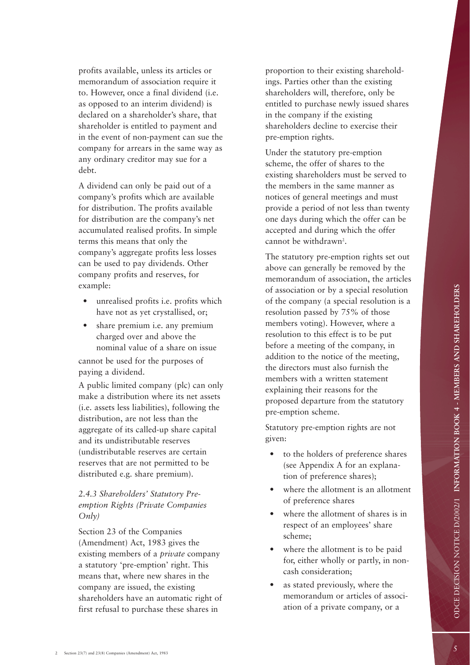profits available, unless its articles or memorandum of association require it to. However, once a final dividend (i.e. as opposed to an interim dividend) is declared on a shareholder's share, that shareholder is entitled to payment and in the event of non-payment can sue the company for arrears in the same way as any ordinary creditor may sue for a debt.

A dividend can only be paid out of a company's profits which are available for distribution. The profits available for distribution are the company's net accumulated realised profits. In simple terms this means that only the company's aggregate profits less losses can be used to pay dividends. Other company profits and reserves, for example:

- unrealised profits i.e. profits which have not as yet crystallised, or;
- share premium *i.e.* any premium charged over and above the nominal value of a share on issue

cannot be used for the purposes of paying a dividend.

A public limited company (plc) can only make a distribution where its net assets (i.e. assets less liabilities), following the distribution, are not less than the aggregate of its called-up share capital and its undistributable reserves (undistributable reserves are certain reserves that are not permitted to be distributed e.g. share premium).

## *2.4.3 Shareholders' Statutory Preemption Rights (Private Companies Only)*

Section 23 of the Companies (Amendment) Act, 1983 gives the existing members of a *private* company a statutory 'pre-emption' right. This means that, where new shares in the company are issued, the existing shareholders have an automatic right of first refusal to purchase these shares in

proportion to their existing shareholdings. Parties other than the existing shareholders will, therefore, only be entitled to purchase newly issued shares in the company if the existing shareholders decline to exercise their pre-emption rights.

Under the statutory pre-emption scheme, the offer of shares to the existing shareholders must be served to the members in the same manner as notices of general meetings and must provide a period of not less than twenty one days during which the offer can be accepted and during which the offer cannot be withdrawn 2 .

The statutory pre-emption rights set out above can generally be removed by the memorandum of association, the articles of association or by a special resolution of the company (a special resolution is a resolution passed by 75% of those members voting). However, where a resolution to this effect is to be put before a meeting of the company, in addition to the notice of the meeting, the directors must also furnish the members with a written statement explaining their reasons for the proposed departure from the statutory pre-emption scheme.

Statutory pre-emption rights are not given:

- to the holders of preference shares (see Appendix A for an explanation of preference shares);
- where the allotment is an allotment of preference shares
- where the allotment of shares is in respect of an employees' share scheme;
- where the allotment is to be paid for, either wholly or partly, in noncash consideration;
- as stated previously, where the memorandum or articles of association of a private company, or a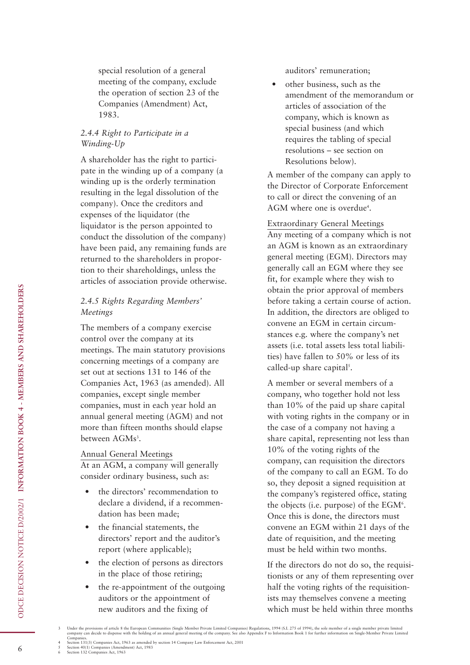special resolution of a general meeting of the company, exclude the operation of section 23 of the Companies (Amendment) Act, 1983.

#### *2.4.4 Right to Participate in a Winding-Up*

A shareholder has the right to participate in the winding up of a company (a winding up is the orderly termination resulting in the legal dissolution of the company). Once the creditors and expenses of the liquidator (the liquidator is the person appointed to conduct the dissolution of the company) have been paid, any remaining funds are returned to the shareholders in proportion to their shareholdings, unless the articles of association provide otherwise.

## *2.4.5 Rights Regarding Members' Meetings*

The members of a company exercise control over the company at its meetings. The main statutory provisions concerning meetings of a company are set out at sections 131 to 146 of the Companies Act, 1963 (as amended). All companies, except single member companies, must in each year hold an annual general meeting (AGM) and not more than fifteen months should elapse between AGMs<sup>3</sup>.

#### Annual General Meetings

At an AGM, a company will generally consider ordinary business, such as:

- the directors' recommendation to declare a dividend, if a recommendation has been made;
- the financial statements, the directors' report and the auditor's report (where applicable);
- the election of persons as directors in the place of those retiring;
- the re-appointment of the outgoing auditors or the appointment of new auditors and the fixing of

auditors' remuneration;

• other business, such as the amendment of the memorandum or articles of association of the company, which is known as special business (and which requires the tabling of special resolutions – see section on Resolutions below).

A member of the company can apply to the Director of Corporate Enforcement to call or direct the convening of an AGM where one is overdue<sup>4</sup>.

Extraordinary General Meetings Any meeting of a company which is not an AGM is known as an extraordinary general meeting (EGM). Directors may generally call an EGM where they see fit, for example where they wish to obtain the prior approval of members before taking a certain course of action. In addition, the directors are obliged to convene an EGM in certain circumstances e.g. where the company's net assets (i.e. total assets less total liabilities) have fallen to 50% or less of its called-up share capital<sup>5</sup>.

A member or several members of a company, who together hold not less than 10% of the paid up share capital with voting rights in the company or in the case of a company not having a share capital, representing not less than 10% of the voting rights of the company, can requisition the directors of the company to call an EGM. To do so, they deposit a signed requisition at the company's registered office, stating the objects (i.e. purpose) of the  $EGM<sup>6</sup>$ . Once this is done, the directors must convene an EGM within 21 days of the date of requisition, and the meeting must be held within two months.

If the directors do not do so, the requisitionists or any of them representing over half the voting rights of the requisitionists may themselves convene a meeting which must be held within three months

Companies. 4 Section 131(3) Companies Act, 1963 as amended by section 14 Company Law Enforcement Act, 2001 5 Section 40(1) Companies (Amendment) Act, 1983 6 Section 132 Companies Act, 1963

6

Under the provisions of article 8 the European Communities (Single Member Private Limited Companies) Regulations, 1994 (S.I. 275 of 1994), the sole member of a single member private limited company can decide to dispense w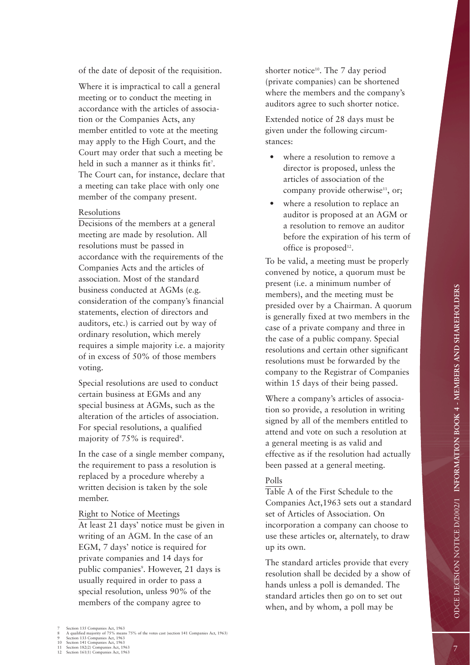of the date of deposit of the requisition.

Where it is impractical to call a general meeting or to conduct the meeting in accordance with the articles of association or the Companies Acts, any member entitled to vote at the meeting may apply to the High Court, and the Court may order that such a meeting be held in such a manner as it thinks fit 7 . The Court can, for instance, declare that a meeting can take place with only one member of the company present.

#### Resolutions

Decisions of the members at a general meeting are made by resolution. All resolutions must be passed in accordance with the requirements of the Companies Acts and the articles of association. Most of the standard business conducted at AGMs (e.g. consideration of the company's financial statements, election of directors and auditors, etc.) is carried out by way of ordinary resolution, which merely requires a simple majority i.e. a majority of in excess of 50% of those members voting.

Special resolutions are used to conduct certain business at EGMs and any special business at AGMs, such as the alteration of the articles of association. For special resolutions, a qualified majority of 75% is required 8 .

In the case of a single member company, the requirement to pass a resolution is replaced by a procedure whereby a written decision is taken by the sole member.

#### Right to Notice of Meetings

At least 21 days' notice must be given in writing of an AGM. In the case of an EGM, 7 days' notice is required for private companies and 14 days for public companies 9 . However, 21 days is usually required in order to pass a special resolution, unless 90% of the members of the company agree to

shorter notice<sup>10</sup>. The 7 day period (private companies) can be shortened where the members and the company's auditors agree to such shorter notice.

Extended notice of 28 days must be given under the following circumstances:

- where a resolution to remove a director is proposed, unless the articles of association of the company provide otherwise<sup>11</sup>, or;
- where a resolution to replace an auditor is proposed at an AGM or a resolution to remove an auditor before the expiration of his term of office is proposed<sup>12</sup>.

To be valid, a meeting must be properly convened by notice, a quorum must be present (i.e. a minimum number of members), and the meeting must be presided over by a Chairman. A quorum is generally fixed at two members in the case of a private company and three in the case of a public company. Special resolutions and certain other significant resolutions must be forwarded by the company to the Registrar of Companies within 15 days of their being passed.

Where a company's articles of association so provide, a resolution in writing signed by all of the members entitled to attend and vote on such a resolution at a general meeting is as valid and effective as if the resolution had actually been passed at a general meeting.

#### Polls

Table A of the First Schedule to the Companies Act,1963 sets out a standard set of Articles of Association. On incorporation a company can choose to use these articles or, alternately, to draw up its own.

The standard articles provide that every resolution shall be decided by a show of hands unless a poll is demanded. The standard articles then go on to set out when, and by whom, a poll may be

<sup>3</sup> Section 135 Companies Act, 1963<br>
8 A qualified majority of 75% means 75% of the votes cast (section 141 Companies Act, 1963)<br>
9 Section 133 Companies Act, 1963<br>
10 Section 141 Companies Act, 1963<br>
11 Section 182(2) Compa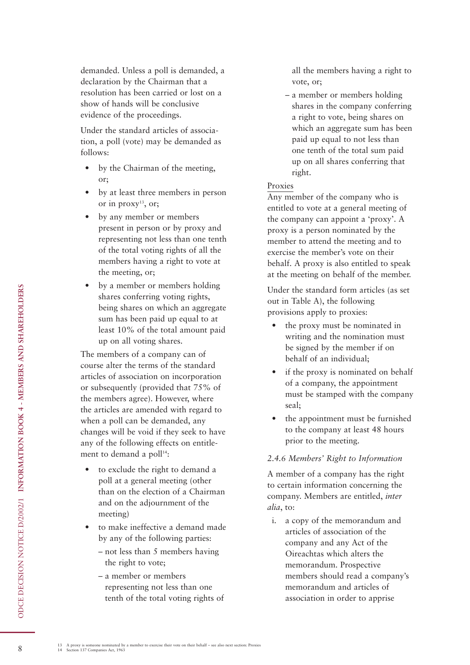demanded. Unless a poll is demanded, a declaration by the Chairman that a resolution has been carried or lost on a show of hands will be conclusive evidence of the proceedings.

Under the standard articles of association, a poll (vote) may be demanded as follows:

- by the Chairman of the meeting, or;
- by at least three members in person or in  $proxy$ <sup>13</sup>, or;
- by any member or members present in person or by proxy and representing not less than one tenth of the total voting rights of all the members having a right to vote at the meeting, or;
- by a member or members holding shares conferring voting rights, being shares on which an aggregate sum has been paid up equal to at least 10% of the total amount paid up on all voting shares.

The members of a company can of course alter the terms of the standard articles of association on incorporation or subsequently (provided that 75% of the members agree). However, where the articles are amended with regard to when a poll can be demanded, any changes will be void if they seek to have any of the following effects on entitlement to demand a poll<sup>14</sup>:

- to exclude the right to demand a poll at a general meeting (other than on the election of a Chairman and on the adjournment of the meeting)
- to make ineffective a demand made by any of the following parties:
	- not less than 5 members having the right to vote;
	- a member or members representing not less than one tenth of the total voting rights of

all the members having a right to vote, or;

– a member or members holding shares in the company conferring a right to vote, being shares on which an aggregate sum has been paid up equal to not less than one tenth of the total sum paid up on all shares conferring that right.

#### Proxies

Any member of the company who is entitled to vote at a general meeting of the company can appoint a 'proxy'. A proxy is a person nominated by the member to attend the meeting and to exercise the member's vote on their behalf. A proxy is also entitled to speak at the meeting on behalf of the member.

Under the standard form articles (as set out in Table A), the following provisions apply to proxies:

- the proxy must be nominated in writing and the nomination must be signed by the member if on behalf of an individual;
- if the proxy is nominated on behalf of a company, the appointment must be stamped with the company seal;
- the appointment must be furnished to the company at least 48 hours prior to the meeting.

## *2.4.6 Members' Right to Information*

A member of a company has the right to certain information concerning the company. Members are entitled, *inter alia*, to:

i. a copy of the memorandum and articles of association of the company and any Act of the Oireachtas which alters the memorandum. Prospective members should read a company's memorandum and articles of association in order to apprise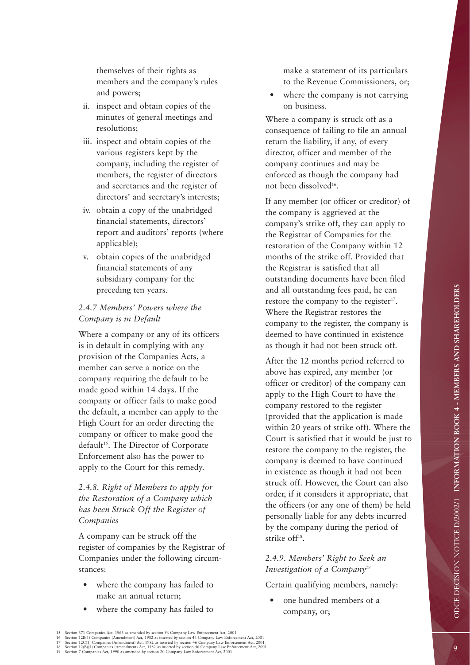themselves of their rights as members and the company's rules and powers;

- ii. inspect and obtain copies of the minutes of general meetings and resolutions;
- iii. inspect and obtain copies of the various registers kept by the company, including the register of members, the register of directors and secretaries and the register of directors' and secretary's interests;
- iv. obtain a copy of the unabridged financial statements, directors' report and auditors' reports (where applicable);
- v. obtain copies of the unabridged financial statements of any subsidiary company for the preceding ten years.

## *2.4.7 Members' Powers where the Company is in Default*

Where a company or any of its officers is in default in complying with any provision of the Companies Acts, a member can serve a notice on the company requiring the default to be made good within 14 days. If the company or officer fails to make good the default, a member can apply to the High Court for an order directing the company or officer to make good the default<sup>15</sup>. The Director of Corporate Enforcement also has the power to apply to the Court for this remedy.

## *2.4.8. Right of Members to apply for the Restoration of a Company which has been Struck Off the Register of Companies*

A company can be struck off the register of companies by the Registrar of Companies under the following circumstances:

- where the company has failed to make an annual return;
- where the company has failed to

make a statement of its particulars to the Revenue Commissioners, or;

• where the company is not carrying on business.

Where a company is struck off as a consequence of failing to file an annual return the liability, if any, of every director, officer and member of the company continues and may be enforced as though the company had not been dissolved16.

If any member (or officer or creditor) of the company is aggrieved at the company's strike off, they can apply to the Registrar of Companies for the restoration of the Company within 12 months of the strike off. Provided that the Registrar is satisfied that all outstanding documents have been filed and all outstanding fees paid, he can restore the company to the register<sup>17</sup>. Where the Registrar restores the company to the register, the company is deemed to have continued in existence as though it had not been struck off.

After the 12 months period referred to above has expired, any member (or officer or creditor) of the company can apply to the High Court to have the company restored to the register (provided that the application is made within 20 years of strike off). Where the Court is satisfied that it would be just to restore the company to the register, the company is deemed to have continued in existence as though it had not been struck off. However, the Court can also order, if it considers it appropriate, that the officers (or any one of them) be held personally liable for any debts incurred by the company during the period of strike off<sup>18</sup>.

### *2.4.9. Members' Right to Seek an Investigation of a Company19*

Certain qualifying members, namely:

one hundred members of a company, or;

<sup>15</sup> Section 371 Companies Act, 1963 as amended by section 96 Company Law Enforcement Act, 2001<br>16 Section 12B(1) Companies (Amendment) Act, 1982 as inserted by section 46 Company Law Enforcement Act, 2001<br>17 Section 12C(1)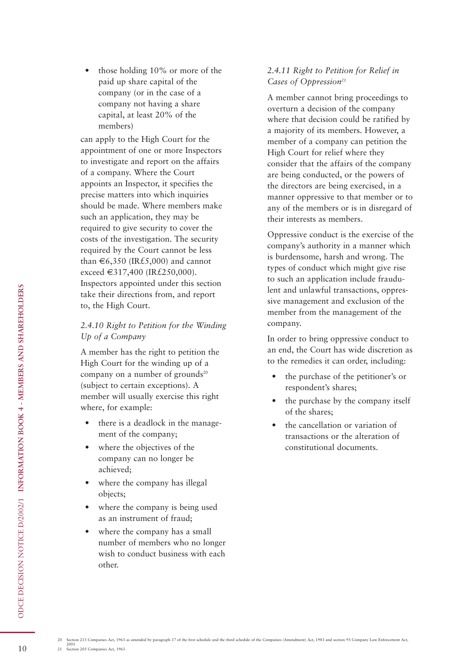• those holding 10% or more of the paid up share capital of the company (or in the case of a company not having a share capital, at least 20% of the members)

can apply to the High Court for the appointment of one or more Inspectors to investigate and report on the affairs of a company. Where the Court appoints an Inspector, it specifies the precise matters into which inquiries should be made. Where members make such an application, they may be required to give security to cover the costs of the investigation. The security required by the Court cannot be less than  $\epsilon$ 6,350 (IR£5,000) and cannot exceed €317,400 (IR£250,000). Inspectors appointed under this section take their directions from, and report to, the High Court.

### *2.4.10 Right to Petition for the Winding Up of a Company*

A member has the right to petition the High Court for the winding up of a company on a number of grounds $20$ (subject to certain exceptions). A member will usually exercise this right where, for example:

- there is a deadlock in the management of the company;
- where the objectives of the company can no longer be achieved;
- where the company has illegal objects;
- where the company is being used as an instrument of fraud;
- where the company has a small number of members who no longer wish to conduct business with each other.

## *2.4.11 Right to Petition for Relief in Cases of Oppression21*

A member cannot bring proceedings to overturn a decision of the company where that decision could be ratified by a majority of its members. However, a member of a company can petition the High Court for relief where they consider that the affairs of the company are being conducted, or the powers of the directors are being exercised, in a manner oppressive to that member or to any of the members or is in disregard of their interests as members.

Oppressive conduct is the exercise of the company's authority in a manner which is burdensome, harsh and wrong. The types of conduct which might give rise to such an application include fraudulent and unlawful transactions, oppressive management and exclusion of the member from the management of the company.

In order to bring oppressive conduct to an end, the Court has wide discretion as to the remedies it can order, including:

- the purchase of the petitioner's or respondent's shares;
- the purchase by the company itself of the shares;
- the cancellation or variation of transactions or the alteration of constitutional documents.

20 Section 213 Companies Act, 1963 as amended by paragraph 17 of the first schedule and the third schedule of the Companies (Amendment) Act, 1983 and section 93 Company Law Enforcement Act,

ODCE DECISION NOTICE D/2002/1 **INFORMATION BOOK 4 - MEMBERS AND SHAREHOLDERS**

ODCE DECISION NOTICE D/2002/1 INFORMATION BOOK 4 - MEMBERS AND SHAREHOLDERS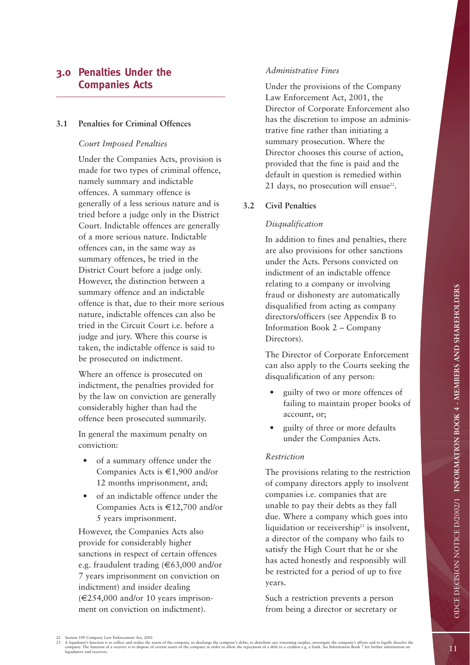# **3.0 Penalties Under the Companies Acts**

#### **3.1 Penalties for Criminal Offences**

#### *Court Imposed Penalties*

Under the Companies Acts, provision is made for two types of criminal offence, namely summary and indictable offences. A summary offence is generally of a less serious nature and is tried before a judge only in the District Court. Indictable offences are generally of a more serious nature. Indictable offences can, in the same way as summary offences, be tried in the District Court before a judge only. However, the distinction between a summary offence and an indictable offence is that, due to their more serious nature, indictable offences can also be tried in the Circuit Court i.e. before a judge and jury. Where this course is taken, the indictable offence is said to be prosecuted on indictment.

Where an offence is prosecuted on indictment, the penalties provided for by the law on conviction are generally considerably higher than had the offence been prosecuted summarily.

In general the maximum penalty on conviction:

- of a summary offence under the Companies Acts is €1,900 and/or 12 months imprisonment, and;
- of an indictable offence under the Companies Acts is €12,700 and/or 5 years imprisonment.

However, the Companies Acts also provide for considerably higher sanctions in respect of certain offences e.g. fraudulent trading  $(\text{€63,000 and/or})$ 7 years imprisonment on conviction on indictment) and insider dealing  $(\in 254,000$  and/or 10 years imprisonment on conviction on indictment).

#### *Administrative Fines*

Under the provisions of the Company Law Enforcement Act, 2001, the Director of Corporate Enforcement also has the discretion to impose an administrative fine rather than initiating a summary prosecution. Where the Director chooses this course of action, provided that the fine is paid and the default in question is remedied within 21 days, no prosecution will ensue<sup>22</sup>.

#### **3.2 Civil Penalties**

#### *Disqualification*

In addition to fines and penalties, there are also provisions for other sanctions under the Acts. Persons convicted on indictment of an indictable offence relating to a company or involving fraud or dishonesty are automatically disqualified from acting as company directors/officers (see Appendix B to Information Book 2 – Company Directors).

The Director of Corporate Enforcement can also apply to the Courts seeking the disqualification of any person:

- guilty of two or more offences of failing to maintain proper books of account, or;
- guilty of three or more defaults under the Companies Acts.

#### *Restriction*

The provisions relating to the restriction of company directors apply to insolvent companies i.e. companies that are unable to pay their debts as they fall due. Where a company which goes into liquidation or receivership<sup>23</sup> is insolvent, a director of the company who fails to satisfy the High Court that he or she has acted honestly and responsibly will be restricted for a period of up to five years.

Such a restriction prevents a person from being a director or secretary or

<sup>22</sup> Section 109 Company Law Enforcement Act, 2001<br>23 A liquidator's function is to collect and realise the assets of the company, to discharge the company's debts, to distribute any remaining surplus, investigate the compan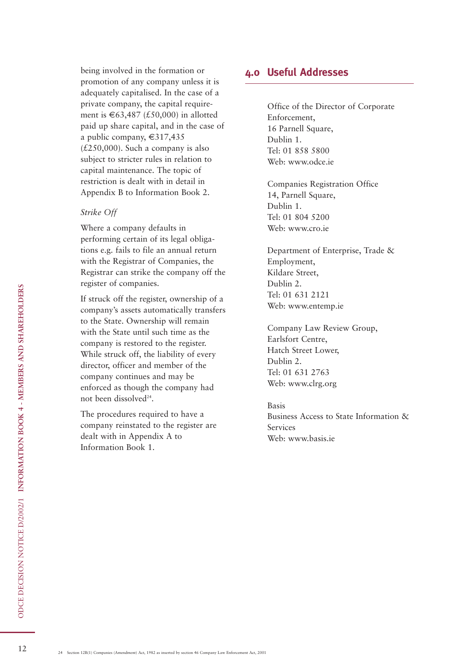being involved in the formation or promotion of any company unless it is adequately capitalised. In the case of a private company, the capital requirement is €63,487 (£50,000) in allotted paid up share capital, and in the case of a public company, €317,435  $(£250,000)$ . Such a company is also subject to stricter rules in relation to capital maintenance. The topic of restriction is dealt with in detail in Appendix B to Information Book 2.

#### *Strike Off*

Where a company defaults in performing certain of its legal obligations e.g. fails to file an annual return with the Registrar of Companies, the Registrar can strike the company off the register of companies.

If struck off the register, ownership of a company's assets automatically transfers to the State. Ownership will remain with the State until such time as the company is restored to the register. While struck off, the liability of every director, officer and member of the company continues and may be enforced as though the company had not been dissolved<sup>24</sup>.

The procedures required to have a company reinstated to the register are dealt with in Appendix A to Information Book 1.

## **4.0 Useful Addresses**

Office of the Director of Corporate Enforcement, 16 Parnell Square, Dublin 1. Tel: 01 858 5800 Web: www.odce.ie

Companies Registration Office 14, Parnell Square, Dublin 1. Tel: 01 804 5200 Web: www.cro.ie

Department of Enterprise, Trade & Employment, Kildare Street, Dublin 2. Tel: 01 631 2121 Web: www.entemp.ie

Company Law Review Group, Earlsfort Centre, Hatch Street Lower, Dublin 2. Tel: 01 631 2763 Web: www.clrg.org

Basis Business Access to State Information & Services Web: www.basis.ie